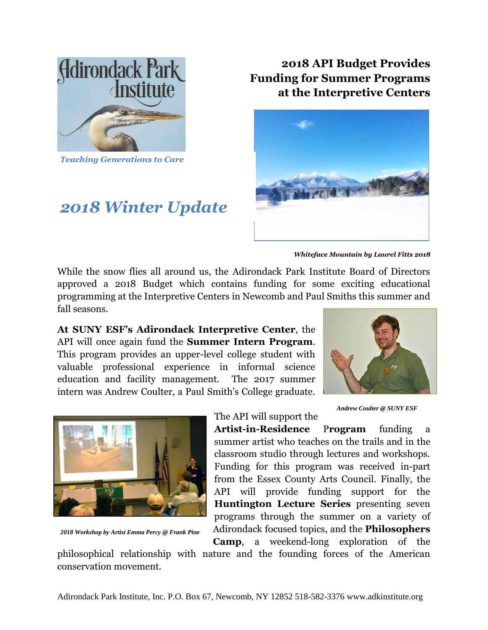

*Teaching Generations to Care*

## *2018 Winter Update*

**2018 API Budget Provides Funding for Summer Programs at the Interpretive Centers**



*Whiteface Mountain by Laurel Fitts 2018*

While the snow flies all around us, the Adirondack Park Institute Board of Directors approved a 2018 Budget which contains funding for some exciting educational programming at the Interpretive Centers in Newcomb and Paul Smiths this summer and fall seasons.

**At SUNY ESF's Adirondack Interpretive Center**, the API will once again fund the **Summer Intern Program**. This program provides an upper-level college student with valuable professional experience in informal science education and facility management. The 2017 summer intern was Andrew Coulter, a Paul Smith's College graduate.





*2018 Workshop by Artist Emma Percy @ Frank Pine*

*Andrew Coulter @ SUNY ESF*

**Artist-in-Residence** P**rogram** funding a summer artist who teaches on the trails and in the classroom studio through lectures and workshops. Funding for this program was received in-part from the Essex County Arts Council. Finally, the API will provide funding support for the **Huntington Lecture Series** presenting seven programs through the summer on a variety of Adirondack focused topics, and the **Philosophers Camp**, a weekend-long exploration of the

philosophical relationship with nature and the founding forces of the American conservation movement.